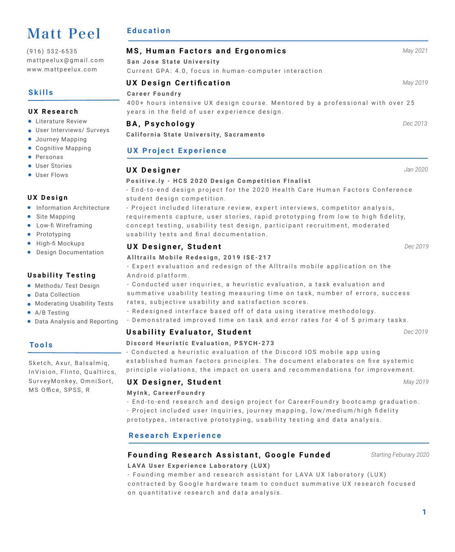# Matt Peel

(916) 532-6535 mattpeelux@gmail.com www.mattpeelux.com

# **Skills**

## **UX Research**

- **.** Literature Review
- User Interviews/ Surveys
- **•** Journey Mapping
- Cognitive Mapping
- **•** Personas
- **User Stories**
- **User Flows**

## **UX Design**

- **•** Information Architecture
- Site Mapping
- **•** Low-fi Wireframing
- Prototyping
- $\bullet$  High-fi Mockups
- **•** Design Documentation

## **Usability Testing**

- **•** Methods/ Test Design
- **•** Data Collection
- **Moderating Usability Tests**
- A/B Testing
- Data Analysis and Reporting

# **Tools**

Sketch, Axur, Balsalmiq, InVision, Flinto, Qualtircs, SurveyMonkey, OmniSort, MS Office, SPSS, R

# **Education**

| MS, Human Factors and Ergonomics                                                                                                | May 2021 |
|---------------------------------------------------------------------------------------------------------------------------------|----------|
| San Jose State University                                                                                                       |          |
| Current GPA: 4.0, focus in human-computer interaction                                                                           |          |
| <b>UX Design Certification</b>                                                                                                  | May 2019 |
| Career Foundry                                                                                                                  |          |
| 400+ hours intensive UX design course. Mentored by a professional with over 25<br>years in the field of user experience design. |          |
| <b>BA, Psychology</b>                                                                                                           | Dec 2013 |
| California State University, Sacramento                                                                                         |          |
| <b>UX Project Experience</b>                                                                                                    |          |
| <b>UX Designer</b>                                                                                                              | Jan 2020 |
| Positive.ly - HCS 2020 Design Competition Flnalist                                                                              |          |
| - End-to-end design project for the 2020 Health Care Human Factors Conference                                                   |          |
| student design competition.                                                                                                     |          |
| - Project included literature review, expert interviews, competitor analysis,                                                   |          |
| requirements capture, user stories, rapid prototyping from low to high fidelity,                                                |          |

**UX Designer, Student** *Dec 2019*

### **Alltrails Mobile Redesign, 2019 ISE-217**

usability tests and final documentation.

- Expert evaluation and redesign of the Alltrails mobile application on the Android platform.

concept testing, usability test design, participant recruitment, moderated

- Conducted user inquiries, a heuristic evaluation, a task evaluation and summative usability testing measuring time on task, number of errors, success rates, subjective usability and satisfaction scores.

- Redesigned interface based off of data using iterative methodology.
- Demonstrated improved time on task and error rates for 4 of 5 primary tasks.

# **Usability Evaluator, Student** *Dec 2019*

### **Discord Heuristic Evaluation, PSYCH-273**

- Conducted a heuristic evaluation of the Discord IOS mobile app using established human factors principles. The document elaborates on five systemic principle violations, the impact on users and recommendations for improvement.

## **UX Designer, Student** *May 2019*

#### **MyInk, CareerFoundry**

- End-to-end research and design project for CareerFoundry bootcamp graduation. - Project included user inquiries, journey mapping, low/medium/high fidelity prototypes, interactive prototyping, usability testing and data analysis.

# **Research Experience**

# **LAVA User Experience Laboratory (LUX) Founding Research Assistant, Google Funded** *Starting Feburary 2020*

- Founding member and research assistant for LAVA UX laboratory (LUX) contracted by Google hardware team to conduct summative UX research focused on quantitative research and data analysis.